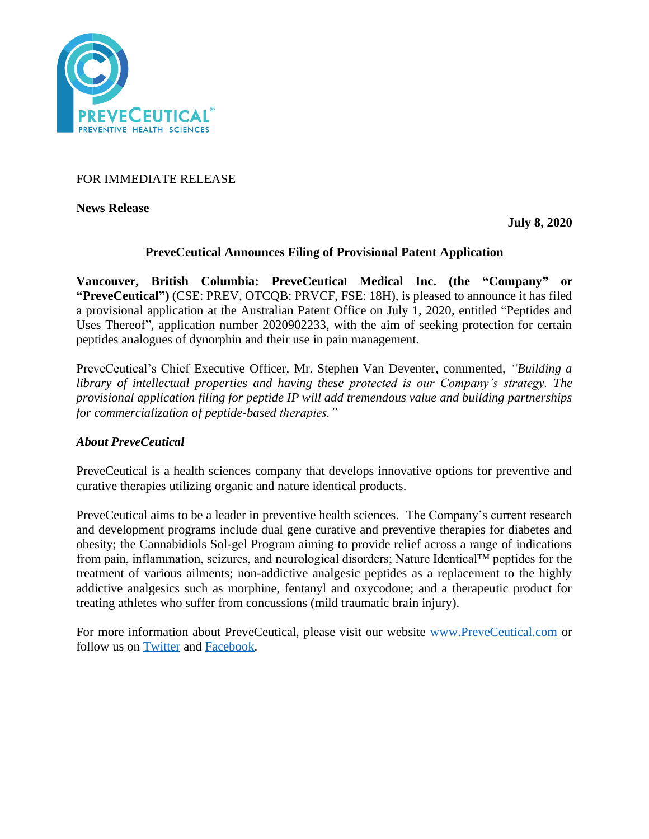

FOR IMMEDIATE RELEASE

**News Release** 

**July 8, 2020**

# **PreveCeutical Announces Filing of Provisional Patent Application**

**Vancouver, British Columbia: PreveCeutical Medical Inc. (the "Company" or "PreveCeutical")** (CSE: PREV, OTCQB: PRVCF, FSE: 18H), is pleased to announce it has filed a provisional application at the Australian Patent Office on July 1, 2020, entitled "Peptides and Uses Thereof", application number 2020902233, with the aim of seeking protection for certain peptides analogues of dynorphin and their use in pain management.

PreveCeutical's Chief Executive Officer, Mr. Stephen Van Deventer, commented, *"Building a library of intellectual properties and having these protected is our Company's strategy. The provisional application filing for peptide IP will add tremendous value and building partnerships for commercialization of peptide-based therapies."*

# *About PreveCeutical*

PreveCeutical is a health sciences company that develops innovative options for preventive and curative therapies utilizing organic and nature identical products.

PreveCeutical aims to be a leader in preventive health sciences. The Company's current research and development programs include dual gene curative and preventive therapies for diabetes and obesity; the Cannabidiols Sol-gel Program aiming to provide relief across a range of indications from pain, inflammation, seizures, and neurological disorders; Nature Identical™ peptides for the treatment of various ailments; non-addictive analgesic peptides as a replacement to the highly addictive analgesics such as morphine, fentanyl and oxycodone; and a therapeutic product for treating athletes who suffer from concussions (mild traumatic brain injury).

For more information about PreveCeutical, please visit our website [www.PreveCeutical.com](http://www.preveceutical.com/) or follow us on [Twitter](http://twitter.com/PreveCeuticals) and [Facebook.](http://www.facebook.com/PreveCeutical)